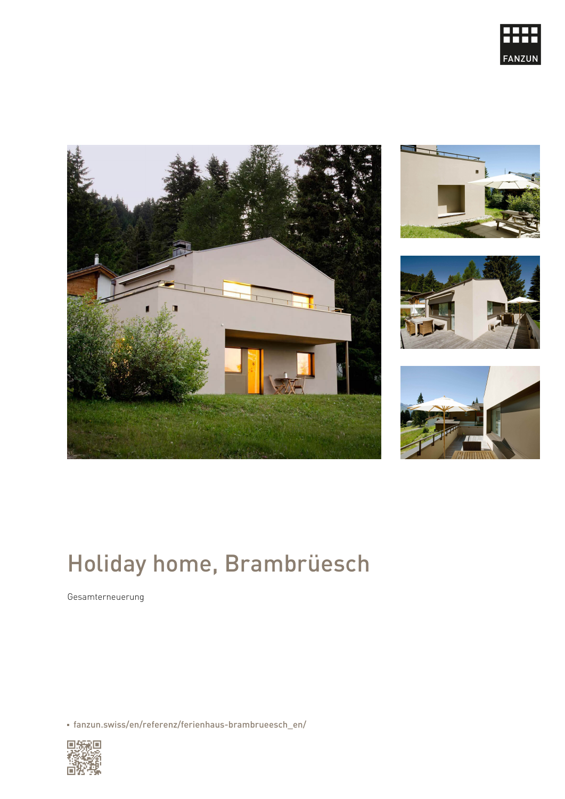# Holiday home, Brambrüesch

Gesamterneuerung

[fanzun.swiss/en/referenz/ferienhaus-brambrueesch\\_en/](https://www.fanzun.swiss/en/referenz/ferienhaus-brambrueesch_en/)